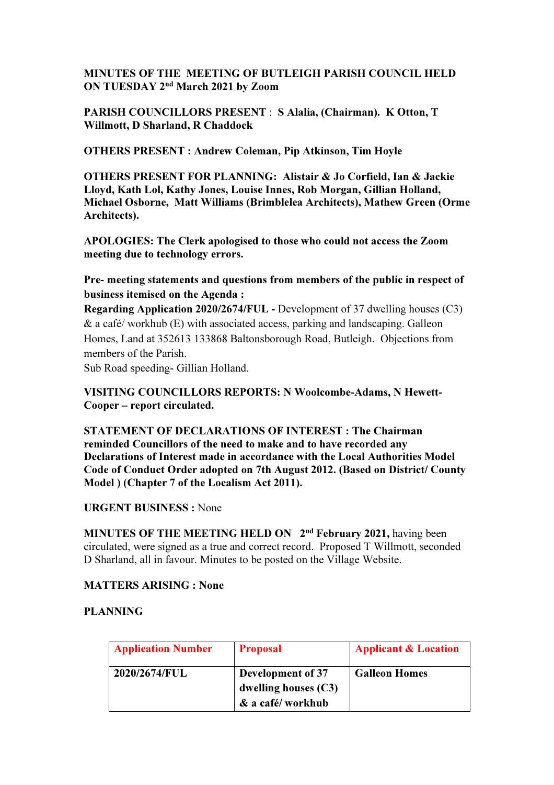### MINUTES OF THE MEETING OF BUTLEIGH PARISH COUNCIL HELD ON TUESDAY 2nd March 2021 by Zoom

PARISH COUNCILLORS PRESENT : S Alalia, (Chairman). K Otton, T Willmott, D Sharland, R Chaddock

OTHERS PRESENT : Andrew Coleman, Pip Atkinson, Tim Hoyle

OTHERS PRESENT FOR PLANNING: Alistair & Jo Corfield, Ian & Jackie Lloyd, Kath Lol, Kathy Jones, Louise Innes, Rob Morgan, Gillian Holland, Michael Osborne, Matt Williams (Brimblelea Architects), Mathew Green (Orme Architects).

APOLOGIES: The Clerk apologised to those who could not access the Zoom meeting due to technology errors.

Pre- meeting statements and questions from members of the public in respect of business itemised on the Agenda :

Regarding Application 2020/2674/FUL - Development of 37 dwelling houses (C3)  $\&$  a café/ workhub (E) with associated access, parking and landscaping. Galleon Homes, Land at 352613 133868 Baltonsborough Road, Butleigh. Objections from members of the Parish.

Sub Road speeding- Gillian Holland.

# VISITING COUNCILLORS REPORTS: N Woolcombe-Adams, N Hewett-Cooper – report circulated.

STATEMENT OF DECLARATIONS OF INTEREST : The Chairman reminded Councillors of the need to make and to have recorded any Declarations of Interest made in accordance with the Local Authorities Model Code of Conduct Order adopted on 7th August 2012. (Based on District/ County Model ) (Chapter 7 of the Localism Act 2011).

# URGENT BUSINESS : None

MINUTES OF THE MEETING HELD ON 2<sup>nd</sup> February 2021, having been circulated, were signed as a true and correct record. Proposed T Willmott, seconded D Sharland, all in favour. Minutes to be posted on the Village Website.

# MATTERS ARISING : None

# PLANNING

| <b>Application Number</b> | <b>Proposal</b>                                                 | <b>Applicant &amp; Location</b> |
|---------------------------|-----------------------------------------------------------------|---------------------------------|
| 2020/2674/FUL             | Development of 37<br>dwelling houses $(C3)$<br>& a café/workhub | <b>Galleon Homes</b>            |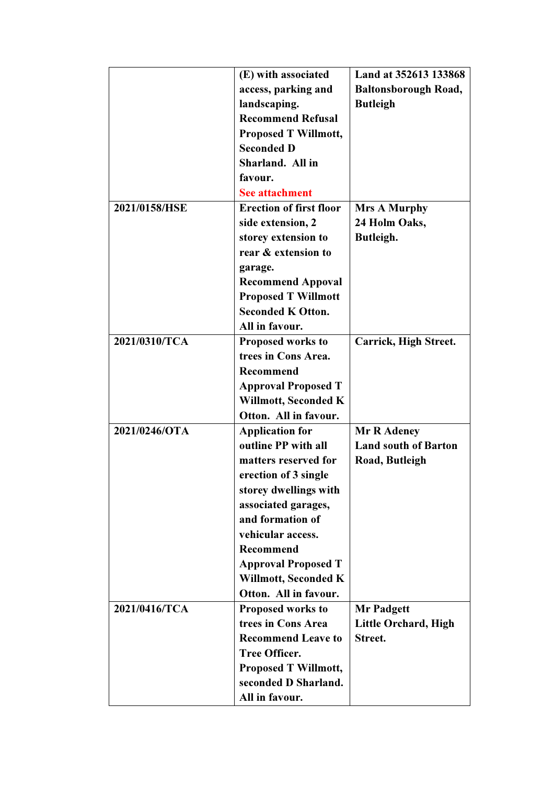|               | (E) with associated            | Land at 352613 133868       |
|---------------|--------------------------------|-----------------------------|
|               | access, parking and            | <b>Baltonsborough Road,</b> |
|               | landscaping.                   | <b>Butleigh</b>             |
|               | <b>Recommend Refusal</b>       |                             |
|               | <b>Proposed T Willmott,</b>    |                             |
|               | <b>Seconded D</b>              |                             |
|               | Sharland. All in               |                             |
|               | favour.                        |                             |
|               | <b>See attachment</b>          |                             |
| 2021/0158/HSE | <b>Erection of first floor</b> | <b>Mrs A Murphy</b>         |
|               | side extension, 2              | 24 Holm Oaks,               |
|               | storey extension to            | Butleigh.                   |
|               | rear & extension to            |                             |
|               | garage.                        |                             |
|               | <b>Recommend Appoval</b>       |                             |
|               | <b>Proposed T Willmott</b>     |                             |
|               | <b>Seconded K Otton.</b>       |                             |
|               | All in favour.                 |                             |
| 2021/0310/TCA | <b>Proposed works to</b>       | Carrick, High Street.       |
|               | trees in Cons Area.            |                             |
|               | <b>Recommend</b>               |                             |
|               | <b>Approval Proposed T</b>     |                             |
|               | Willmott, Seconded K           |                             |
|               | Otton. All in favour.          |                             |
| 2021/0246/OTA | <b>Application for</b>         | Mr R Adeney                 |
|               | outline PP with all            | <b>Land south of Barton</b> |
|               | matters reserved for           | Road, Butleigh              |
|               | erection of 3 single           |                             |
|               | storey dwellings with          |                             |
|               | associated garages,            |                             |
|               | and formation of               |                             |
|               | vehicular access.              |                             |
|               | Recommend                      |                             |
|               | <b>Approval Proposed T</b>     |                             |
|               | Willmott, Seconded K           |                             |
|               | Otton. All in favour.          |                             |
| 2021/0416/TCA | Proposed works to              | <b>Mr Padgett</b>           |
|               | trees in Cons Area             | Little Orchard, High        |
|               | <b>Recommend Leave to</b>      | Street.                     |
|               | <b>Tree Officer.</b>           |                             |
|               | <b>Proposed T Willmott,</b>    |                             |
|               | seconded D Sharland.           |                             |
|               | All in favour.                 |                             |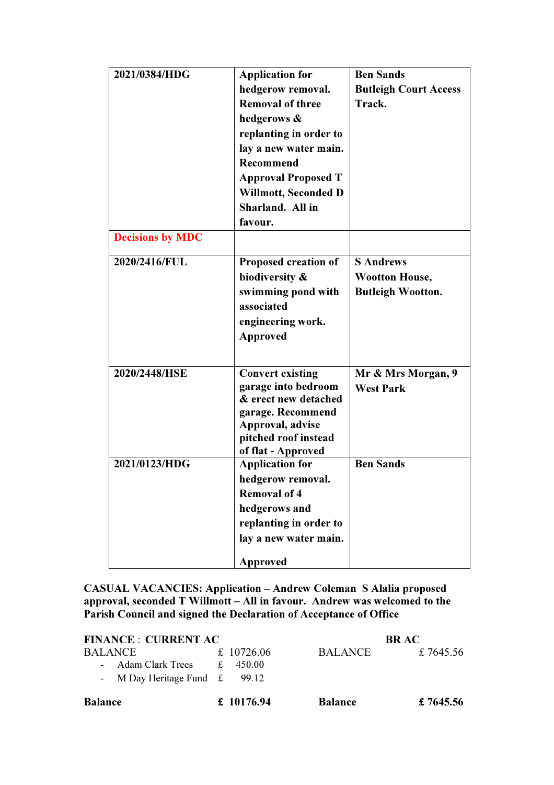| 2021/0384/HDG           | <b>Application for</b>                   | <b>Ben Sands</b>             |
|-------------------------|------------------------------------------|------------------------------|
|                         | hedgerow removal.                        | <b>Butleigh Court Access</b> |
|                         | <b>Removal of three</b>                  | Track.                       |
|                         | hedgerows &                              |                              |
|                         | replanting in order to                   |                              |
|                         | lay a new water main.                    |                              |
|                         | <b>Recommend</b>                         |                              |
|                         | <b>Approval Proposed T</b>               |                              |
|                         | Willmott, Seconded D                     |                              |
|                         | Sharland. All in                         |                              |
|                         | favour.                                  |                              |
| <b>Decisions by MDC</b> |                                          |                              |
| 2020/2416/FUL           | Proposed creation of                     | <b>S</b> Andrews             |
|                         | biodiversity &                           | <b>Wootton House,</b>        |
|                         | swimming pond with                       | <b>Butleigh Wootton.</b>     |
|                         | associated                               |                              |
|                         | engineering work.                        |                              |
|                         | <b>Approved</b>                          |                              |
|                         |                                          |                              |
| 2020/2448/HSE           | <b>Convert existing</b>                  | Mr & Mrs Morgan, 9           |
|                         | garage into bedroom                      | <b>West Park</b>             |
|                         | & erect new detached                     |                              |
|                         | garage. Recommend                        |                              |
|                         | Approval, advise<br>pitched roof instead |                              |
|                         | of flat - Approved                       |                              |
| 2021/0123/HDG           | <b>Application for</b>                   | <b>Ben Sands</b>             |
|                         | hedgerow removal.                        |                              |
|                         | <b>Removal of 4</b>                      |                              |
|                         | hedgerows and                            |                              |
|                         | replanting in order to                   |                              |
|                         | lay a new water main.                    |                              |
|                         | Approved                                 |                              |

CASUAL VACANCIES: Application – Andrew Coleman S Alalia proposed approval, seconded T Willmott – All in favour. Andrew was welcomed to the Parish Council and signed the Declaration of Acceptance of Office

| <b>FINANCE : CURRENT AC</b>                                         |                                 | <b>BR AC</b>   |           |
|---------------------------------------------------------------------|---------------------------------|----------------|-----------|
| <b>BALANCE</b><br>- Adam Clark Trees<br>- M Day Heritage Fund $\pm$ | £ 10726.06<br>£ 450.00<br>99.12 | BALANCE        | £7645.56  |
| <b>Balance</b>                                                      | £ 10176.94                      | <b>Balance</b> | £ 7645.56 |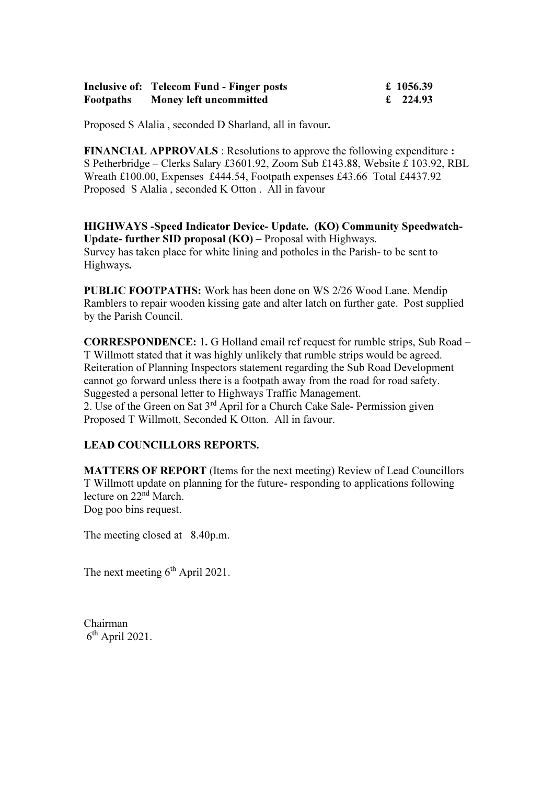|                  | <b>Inclusive of: Telecom Fund - Finger posts</b> | £ 1056.39 |
|------------------|--------------------------------------------------|-----------|
| <b>Footpaths</b> | <b>Money left uncommitted</b>                    | £ 224.93  |

Proposed S Alalia , seconded D Sharland, all in favour.

FINANCIAL APPROVALS : Resolutions to approve the following expenditure : S Petherbridge – Clerks Salary £3601.92, Zoom Sub £143.88, Website £ 103.92, RBL Wreath £100.00, Expenses £444.54, Footpath expenses £43.66 Total £4437.92 Proposed S Alalia , seconded K Otton . All in favour

HIGHWAYS -Speed Indicator Device- Update. (KO) Community Speedwatch-Update- further SID proposal (KO) – Proposal with Highways. Survey has taken place for white lining and potholes in the Parish- to be sent to Highways.

PUBLIC FOOTPATHS: Work has been done on WS 2/26 Wood Lane. Mendip Ramblers to repair wooden kissing gate and alter latch on further gate. Post supplied by the Parish Council.

CORRESPONDENCE: 1. G Holland email ref request for rumble strips, Sub Road – T Willmott stated that it was highly unlikely that rumble strips would be agreed. Reiteration of Planning Inspectors statement regarding the Sub Road Development cannot go forward unless there is a footpath away from the road for road safety. Suggested a personal letter to Highways Traffic Management. 2. Use of the Green on Sat 3rd April for a Church Cake Sale- Permission given Proposed T Willmott, Seconded K Otton. All in favour.

#### LEAD COUNCILLORS REPORTS.

MATTERS OF REPORT (Items for the next meeting) Review of Lead Councillors T Willmott update on planning for the future- responding to applications following lecture on 22<sup>nd</sup> March. Dog poo bins request.

The meeting closed at 8.40p.m.

The next meeting 6<sup>th</sup> April 2021.

Chairman  $6<sup>th</sup>$  April 2021.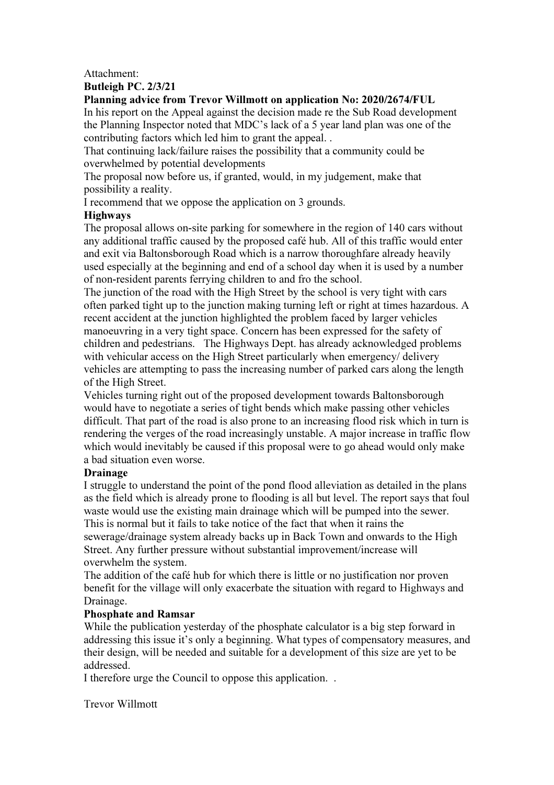#### Attachment:

### Butleigh PC. 2/3/21

### Planning advice from Trevor Willmott on application No: 2020/2674/FUL

In his report on the Appeal against the decision made re the Sub Road development the Planning Inspector noted that MDC's lack of a 5 year land plan was one of the contributing factors which led him to grant the appeal. .

That continuing lack/failure raises the possibility that a community could be overwhelmed by potential developments

The proposal now before us, if granted, would, in my judgement, make that possibility a reality.

I recommend that we oppose the application on 3 grounds.

### Highways

The proposal allows on-site parking for somewhere in the region of 140 cars without any additional traffic caused by the proposed café hub. All of this traffic would enter and exit via Baltonsborough Road which is a narrow thoroughfare already heavily used especially at the beginning and end of a school day when it is used by a number of non-resident parents ferrying children to and fro the school.

The junction of the road with the High Street by the school is very tight with cars often parked tight up to the junction making turning left or right at times hazardous. A recent accident at the junction highlighted the problem faced by larger vehicles manoeuvring in a very tight space. Concern has been expressed for the safety of children and pedestrians. The Highways Dept. has already acknowledged problems with vehicular access on the High Street particularly when emergency/ delivery vehicles are attempting to pass the increasing number of parked cars along the length of the High Street.

Vehicles turning right out of the proposed development towards Baltonsborough would have to negotiate a series of tight bends which make passing other vehicles difficult. That part of the road is also prone to an increasing flood risk which in turn is rendering the verges of the road increasingly unstable. A major increase in traffic flow which would inevitably be caused if this proposal were to go ahead would only make a bad situation even worse.

# Drainage

I struggle to understand the point of the pond flood alleviation as detailed in the plans as the field which is already prone to flooding is all but level. The report says that foul waste would use the existing main drainage which will be pumped into the sewer. This is normal but it fails to take notice of the fact that when it rains the sewerage/drainage system already backs up in Back Town and onwards to the High Street. Any further pressure without substantial improvement/increase will overwhelm the system.

The addition of the café hub for which there is little or no justification nor proven benefit for the village will only exacerbate the situation with regard to Highways and Drainage.

# Phosphate and Ramsar

While the publication yesterday of the phosphate calculator is a big step forward in addressing this issue it's only a beginning. What types of compensatory measures, and their design, will be needed and suitable for a development of this size are yet to be addressed.

I therefore urge the Council to oppose this application. .

Trevor Willmott